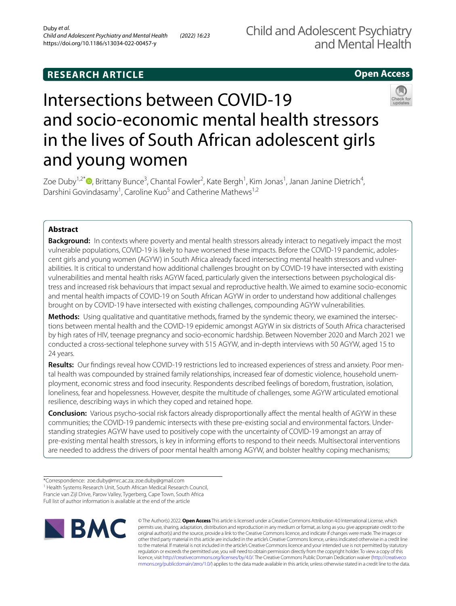# **RESEARCH ARTICLE**

## **Open Access**



# Intersections between COVID-19 and socio-economic mental health stressors in the lives of South African adolescent girls and young women

Zoe Duby<sup>1[,](http://orcid.org/0000-0001-7615-8152)2\*</sup><sup>O</sup>, Brittany Bunce<sup>3</sup>, Chantal Fowler<sup>2</sup>, Kate Bergh<sup>1</sup>, Kim Jonas<sup>1</sup>, Janan Janine Dietrich<sup>4</sup>, Darshini Govindasamy<sup>1</sup>, Caroline Kuo<sup>5</sup> and Catherine Mathews<sup>1,2</sup>

### **Abstract**

**Background:** In contexts where poverty and mental health stressors already interact to negatively impact the most vulnerable populations, COVID-19 is likely to have worsened these impacts. Before the COVID-19 pandemic, adolescent girls and young women (AGYW) in South Africa already faced intersecting mental health stressors and vulnerabilities. It is critical to understand how additional challenges brought on by COVID-19 have intersected with existing vulnerabilities and mental health risks AGYW faced, particularly given the intersections between psychological distress and increased risk behaviours that impact sexual and reproductive health. We aimed to examine socio-economic and mental health impacts of COVID-19 on South African AGYW in order to understand how additional challenges brought on by COVID-19 have intersected with existing challenges, compounding AGYW vulnerabilities.

**Methods:** Using qualitative and quantitative methods, framed by the syndemic theory, we examined the intersections between mental health and the COVID-19 epidemic amongst AGYW in six districts of South Africa characterised by high rates of HIV, teenage pregnancy and socio-economic hardship. Between November 2020 and March 2021 we conducted a cross-sectional telephone survey with 515 AGYW, and in-depth interviews with 50 AGYW, aged 15 to 24 years.

**Results:** Our fndings reveal how COVID-19 restrictions led to increased experiences of stress and anxiety. Poor mental health was compounded by strained family relationships, increased fear of domestic violence, household unemployment, economic stress and food insecurity. Respondents described feelings of boredom, frustration, isolation, loneliness, fear and hopelessness. However, despite the multitude of challenges, some AGYW articulated emotional resilience, describing ways in which they coped and retained hope.

**Conclusion:** Various psycho-social risk factors already disproportionally afect the mental health of AGYW in these communities; the COVID-19 pandemic intersects with these pre-existing social and environmental factors. Understanding strategies AGYW have used to positively cope with the uncertainty of COVID-19 amongst an array of pre-existing mental health stressors, is key in informing efforts to respond to their needs. Multisectoral interventions are needed to address the drivers of poor mental health among AGYW, and bolster healthy coping mechanisms;

Full list of author information is available at the end of the article



© The Author(s) 2022. **Open Access** This article is licensed under a Creative Commons Attribution 4.0 International License, which permits use, sharing, adaptation, distribution and reproduction in any medium or format, as long as you give appropriate credit to the original author(s) and the source, provide a link to the Creative Commons licence, and indicate if changes were made. The images or other third party material in this article are included in the article's Creative Commons licence, unless indicated otherwise in a credit line to the material. If material is not included in the article's Creative Commons licence and your intended use is not permitted by statutory regulation or exceeds the permitted use, you will need to obtain permission directly from the copyright holder. To view a copy of this licence, visit [http://creativecommons.org/licenses/by/4.0/.](http://creativecommons.org/licenses/by/4.0/) The Creative Commons Public Domain Dedication waiver ([http://creativeco](http://creativecommons.org/publicdomain/zero/1.0/) [mmons.org/publicdomain/zero/1.0/](http://creativecommons.org/publicdomain/zero/1.0/)) applies to the data made available in this article, unless otherwise stated in a credit line to the data.

<sup>\*</sup>Correspondence: zoe.duby@mrc.ac.za; zoe.duby@gmail.com

<sup>&</sup>lt;sup>1</sup> Health Systems Research Unit, South African Medical Research Council, Francie van Zijl Drive, Parow Valley, Tygerberg, Cape Town, South Africa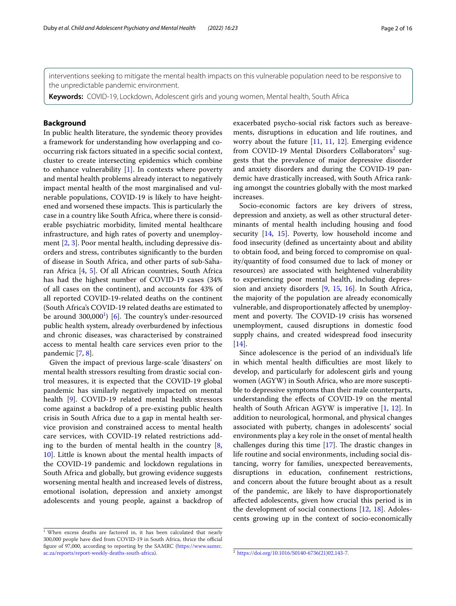interventions seeking to mitigate the mental health impacts on this vulnerable population need to be responsive to the unpredictable pandemic environment.

**Keywords:** COVID-19, Lockdown, Adolescent girls and young women, Mental health, South Africa

#### **Background**

In public health literature, the syndemic theory provides a framework for understanding how overlapping and cooccurring risk factors situated in a specifc social context, cluster to create intersecting epidemics which combine to enhance vulnerability  $[1]$  $[1]$ . In contexts where poverty and mental health problems already interact to negatively impact mental health of the most marginalised and vulnerable populations, COVID-19 is likely to have heightened and worsened these impacts. This is particularly the case in a country like South Africa, where there is considerable psychiatric morbidity, limited mental healthcare infrastructure, and high rates of poverty and unemployment [[2,](#page-13-1) [3](#page-13-2)]. Poor mental health, including depressive disorders and stress, contributes signifcantly to the burden of disease in South Africa, and other parts of sub-Saharan Africa [\[4](#page-13-3), [5\]](#page-13-4). Of all African countries, South Africa has had the highest number of COVID-19 cases (34% of all cases on the continent), and accounts for 43% of all reported COVID-19-related deaths on the continent (South Africa's COVID-19 related deaths are estimated to be around  $300,000<sup>1</sup>$  $300,000<sup>1</sup>$  $300,000<sup>1</sup>$  [\[6](#page-13-5)]. The country's under-resourced public health system, already overburdened by infectious and chronic diseases, was characterised by constrained access to mental health care services even prior to the pandemic [\[7](#page-13-6), [8\]](#page-14-0).

Given the impact of previous large-scale 'disasters' on mental health stressors resulting from drastic social control measures, it is expected that the COVID-19 global pandemic has similarly negatively impacted on mental health [[9\]](#page-14-1). COVID-19 related mental health stressors come against a backdrop of a pre-existing public health crisis in South Africa due to a gap in mental health service provision and constrained access to mental health care services, with COVID-19 related restrictions adding to the burden of mental health in the country  $[8, 8]$  $[8, 8]$ [10\]](#page-14-2). Little is known about the mental health impacts of the COVID-19 pandemic and lockdown regulations in South Africa and globally, but growing evidence suggests worsening mental health and increased levels of distress, emotional isolation, depression and anxiety amongst adolescents and young people, against a backdrop of

Socio-economic factors are key drivers of stress, depression and anxiety, as well as other structural determinants of mental health including housing and food security [\[14](#page-14-5), [15](#page-14-6)]. Poverty, low household income and food insecurity (defned as uncertainty about and ability to obtain food, and being forced to compromise on quality/quantity of food consumed due to lack of money or resources) are associated with heightened vulnerability to experiencing poor mental health, including depression and anxiety disorders [\[9](#page-14-1), [15](#page-14-6), [16](#page-14-7)]. In South Africa, the majority of the population are already economically vulnerable, and disproportionately afected by unemployment and poverty. The COVID-19 crisis has worsened unemployment, caused disruptions in domestic food supply chains, and created widespread food insecurity [[14\]](#page-14-5).

Since adolescence is the period of an individual's life in which mental health difficulties are most likely to develop, and particularly for adolescent girls and young women (AGYW) in South Africa, who are more susceptible to depressive symptoms than their male counterparts, understanding the efects of COVID-19 on the mental health of South African AGYW is imperative [[1,](#page-13-0) [12](#page-14-4)]. In addition to neurological, hormonal, and physical changes associated with puberty, changes in adolescents' social environments play a key role in the onset of mental health challenges during this time  $[17]$  $[17]$ . The drastic changes in life routine and social environments, including social distancing, worry for families, unexpected bereavements, disruptions in education, confnement restrictions, and concern about the future brought about as a result of the pandemic, are likely to have disproportionately afected adolescents, given how crucial this period is in the development of social connections [\[12](#page-14-4), [18\]](#page-14-9). Adolescents growing up in the context of socio-economically

exacerbated psycho-social risk factors such as bereavements, disruptions in education and life routines, and worry about the future [[11,](#page-14-3) [11](#page-14-3), [12](#page-14-4)]. Emerging evidence from COVID-19 Mental Disorders Collaborators<sup>2</sup> suggests that the prevalence of major depressive disorder and anxiety disorders and during the COVID-19 pandemic have drastically increased, with South Africa ranking amongst the countries globally with the most marked increases.

<span id="page-1-0"></span><sup>1</sup> When excess deaths are factored in, it has been calculated that nearly 300,000 people have died from COVID-19 in South Africa, thrice the official figure of 97,000, according to reporting by the SAMRC ([https://www.samrc.](https://www.samrc.ac.za/reports/report-weekly-deaths-south-africa) ac.za/reports/report-weekly-deaths-south-africa).

<span id="page-1-1"></span> $a^2$  [https://doi.org/10.1016/S0140-6736\(21\)02,143-7](https://doi.org/10.1016/S0140-6736(21)02,143-7).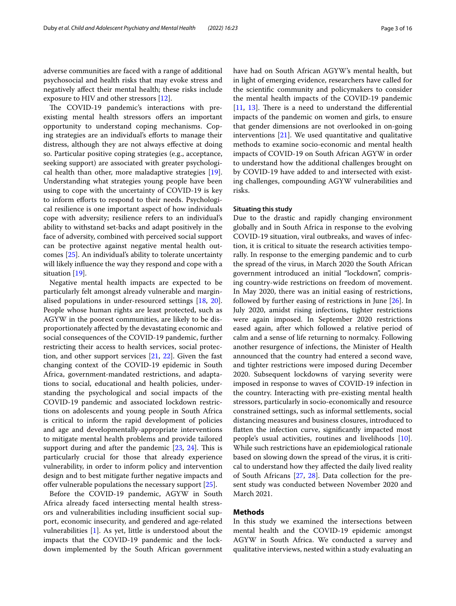adverse communities are faced with a range of additional psychosocial and health risks that may evoke stress and negatively afect their mental health; these risks include exposure to HIV and other stressors [[12](#page-14-4)].

The COVID-19 pandemic's interactions with preexisting mental health stressors offers an important opportunity to understand coping mechanisms. Coping strategies are an individual's efforts to manage their distress, although they are not always efective at doing so. Particular positive coping strategies (e.g., acceptance, seeking support) are associated with greater psychological health than other, more maladaptive strategies [\[19](#page-14-10)]. Understanding what strategies young people have been using to cope with the uncertainty of COVID-19 is key to inform efforts to respond to their needs. Psychological resilience is one important aspect of how individuals cope with adversity; resilience refers to an individual's ability to withstand set-backs and adapt positively in the face of adversity, combined with perceived social support can be protective against negative mental health outcomes [[25\]](#page-14-11). An individual's ability to tolerate uncertainty will likely infuence the way they respond and cope with a situation [\[19\]](#page-14-10).

Negative mental health impacts are expected to be particularly felt amongst already vulnerable and marginalised populations in under-resourced settings [\[18](#page-14-9), [20](#page-14-12)]. People whose human rights are least protected, such as AGYW in the poorest communities, are likely to be disproportionately afected by the devastating economic and social consequences of the COVID-19 pandemic, further restricting their access to health services, social protection, and other support services [\[21](#page-14-13), [22\]](#page-14-14). Given the fast changing context of the COVID-19 epidemic in South Africa, government-mandated restrictions, and adaptations to social, educational and health policies, understanding the psychological and social impacts of the COVID-19 pandemic and associated lockdown restrictions on adolescents and young people in South Africa is critical to inform the rapid development of policies and age and developmentally-appropriate interventions to mitigate mental health problems and provide tailored support during and after the pandemic  $[23, 24]$  $[23, 24]$  $[23, 24]$ . This is particularly crucial for those that already experience vulnerability, in order to inform policy and intervention design and to best mitigate further negative impacts and offer vulnerable populations the necessary support [[25](#page-14-11)].

Before the COVID-19 pandemic, AGYW in South Africa already faced intersecting mental health stressors and vulnerabilities including insufficient social support, economic insecurity, and gendered and age-related vulnerabilities [\[1](#page-13-0)]. As yet, little is understood about the impacts that the COVID-19 pandemic and the lockdown implemented by the South African government have had on South African AGYW's mental health, but in light of emerging evidence, researchers have called for the scientifc community and policymakers to consider the mental health impacts of the COVID-19 pandemic  $[11, 13]$  $[11, 13]$  $[11, 13]$  $[11, 13]$ . There is a need to understand the differential impacts of the pandemic on women and girls, to ensure that gender dimensions are not overlooked in on-going interventions [[21\]](#page-14-13). We used quantitative and qualitative methods to examine socio-economic and mental health impacts of COVID-19 on South African AGYW in order to understand how the additional challenges brought on by COVID-19 have added to and intersected with existing challenges, compounding AGYW vulnerabilities and risks.

#### **Situating this study**

Due to the drastic and rapidly changing environment globally and in South Africa in response to the evolving COVID-19 situation, viral outbreaks, and waves of infection, it is critical to situate the research activities temporally. In response to the emerging pandemic and to curb the spread of the virus, in March 2020 the South African government introduced an initial "lockdown", comprising country-wide restrictions on freedom of movement. In May 2020, there was an initial easing of restrictions, followed by further easing of restrictions in June [[26](#page-14-18)]. In July 2020, amidst rising infections, tighter restrictions were again imposed. In September 2020 restrictions eased again, after which followed a relative period of calm and a sense of life returning to normalcy. Following another resurgence of infections, the Minister of Health announced that the country had entered a second wave, and tighter restrictions were imposed during December 2020. Subsequent lockdowns of varying severity were imposed in response to waves of COVID-19 infection in the country. Interacting with pre-existing mental health stressors, particularly in socio-economically and resource constrained settings, such as informal settlements, social distancing measures and business closures, introduced to fatten the infection curve, signifcantly impacted most people's usual activities, routines and livelihoods [\[10](#page-14-2)]. While such restrictions have an epidemiological rationale based on slowing down the spread of the virus, it is critical to understand how they afected the daily lived reality of South Africans [[27](#page-14-19), [28](#page-14-20)]. Data collection for the present study was conducted between November 2020 and March 2021.

#### **Methods**

In this study we examined the intersections between mental health and the COVID-19 epidemic amongst AGYW in South Africa. We conducted a survey and qualitative interviews, nested within a study evaluating an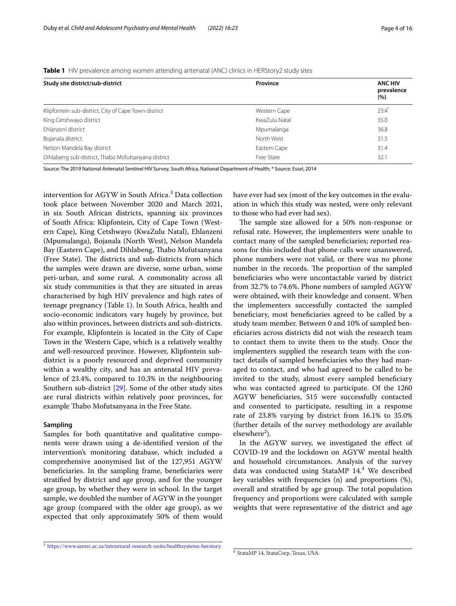#### <span id="page-3-1"></span>**Table 1** HIV prevalence among women attending antenatal (ANC) clinics in HERStory2 study sites

| <b>ANC HIV</b><br>prevalence<br>(%) |
|-------------------------------------|
|                                     |
| $23.4^*$                            |
| 35.0                                |
| 36.8                                |
| 31.5                                |
| 31.4                                |
| 32.1                                |
|                                     |

Source: The 2019 National Antenatal Sentinel HIV Survey, South Africa, National Department of Health; \* Source: Essel, 2014

intervention for AGYW in South Africa.<sup>3</sup> Data collection took place between November 2020 and March 2021, in six South African districts, spanning six provinces of South Africa: Klipfontein, City of Cape Town (Western Cape), King Cetshwayo (KwaZulu Natal), Ehlanzeni (Mpumalanga), Bojanala (North West), Nelson Mandela Bay (Eastern Cape), and Dihlabeng, Thabo Mofutsanyana (Free State). The districts and sub-districts from which the samples were drawn are diverse, some urban, some peri-urban, and some rural. A commonality across all six study communities is that they are situated in areas characterised by high HIV prevalence and high rates of teenage pregnancy (Table [1\)](#page-3-1). In South Africa, health and socio-economic indicators vary hugely by province, but also within provinces, between districts and sub-districts. For example, Klipfontein is located in the City of Cape Town in the Western Cape, which is a relatively wealthy and well-resourced province. However, Klipfontein subdistrict is a poorly resourced and deprived community within a wealthy city, and has an antenatal HIV prevalence of 23.4%, compared to 10.3% in the neighbouring Southern sub-district [\[29\]](#page-14-21). Some of the other study sites are rural districts within relatively poor provinces, for example Thabo Mofutsanyana in the Free State.

#### **Sampling**

Samples for both quantitative and qualitative components were drawn using a de-identifed version of the intervention's monitoring database, which included a comprehensive anonymised list of the 127,951 AGYW beneficiaries. In the sampling frame, beneficiaries were stratifed by district and age group, and for the younger age group, by whether they were in school. In the target sample, we doubled the number of AGYW in the younger age group (compared with the older age group), as we expected that only approximately 50% of them would have ever had sex (most of the key outcomes in the evaluation in which this study was nested, were only relevant to those who had ever had sex).

The sample size allowed for a 50% non-response or refusal rate. However, the implementers were unable to contact many of the sampled benefciaries; reported reasons for this included that phone calls were unanswered, phone numbers were not valid, or there was no phone number in the records. The proportion of the sampled benefciaries who were uncontactable varied by district from 32.7% to 74.6%. Phone numbers of sampled AGYW were obtained, with their knowledge and consent. When the implementers successfully contacted the sampled benefciary, most benefciaries agreed to be called by a study team member. Between 0 and 10% of sampled benefciaries across districts did not wish the research team to contact them to invite them to the study. Once the implementers supplied the research team with the contact details of sampled benefciaries who they had managed to contact, and who had agreed to be called to be invited to the study, almost every sampled beneficiary who was contacted agreed to participate. Of the 1260 AGYW benefciaries, 515 were successfully contacted and consented to participate, resulting in a response rate of 23.8% varying by district from 16.1% to 35.0% (further details of the survey methodology are available elsewhere<sup>2</sup>).

In the AGYW survey, we investigated the efect of COVID-19 and the lockdown on AGYW mental health and household circumstances. Analysis of the survey data was conducted using StataMP 1[4](#page-3-2).<sup>4</sup> We described key variables with frequencies (n) and proportions (%), overall and stratified by age group. The total population frequency and proportions were calculated with sample weights that were representative of the district and age

<span id="page-3-0"></span><sup>3</sup> [https://www.samrc.ac.za/intramural-research-units/healthsystems-herstory.](https://www.samrc.ac.za/intramural-research-units/healthsystems-herstory)

<span id="page-3-2"></span><sup>4</sup> StataMP 14, StataCorp, Texas, USA.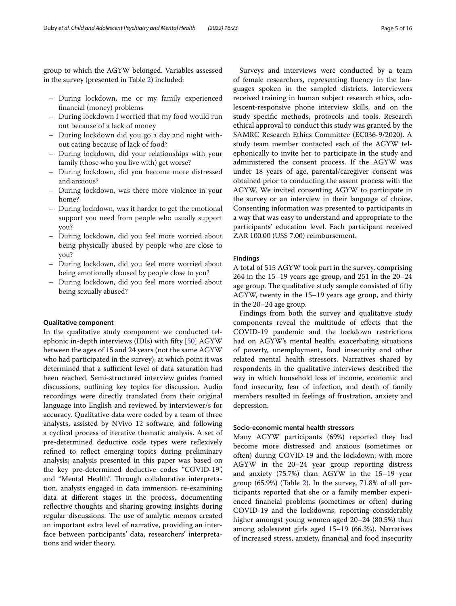group to which the AGYW belonged. Variables assessed in the survey (presented in Table [2](#page-5-0)) included:

- During lockdown, me or my family experienced fnancial (money) problems
- During lockdown I worried that my food would run out because of a lack of money
- During lockdown did you go a day and night without eating because of lack of food?
- During lockdown, did your relationships with your family (those who you live with) get worse?
- During lockdown, did you become more distressed and anxious?
- During lockdown, was there more violence in your home?
- During lockdown, was it harder to get the emotional support you need from people who usually support you?
- During lockdown, did you feel more worried about being physically abused by people who are close to you?
- During lockdown, did you feel more worried about being emotionally abused by people close to you?
- During lockdown, did you feel more worried about being sexually abused?

#### **Qualitative component**

In the qualitative study component we conducted telephonic in-depth interviews (IDIs) with ffty [[50](#page-15-0)] AGYW between the ages of 15 and 24 years (not the same AGYW who had participated in the survey), at which point it was determined that a sufficient level of data saturation had been reached. Semi-structured interview guides framed discussions, outlining key topics for discussion. Audio recordings were directly translated from their original language into English and reviewed by interviewer/s for accuracy. Qualitative data were coded by a team of three analysts, assisted by NVivo 12 software, and following a cyclical process of iterative thematic analysis. A set of pre-determined deductive code types were refexively refined to reflect emerging topics during preliminary analysis; analysis presented in this paper was based on the key pre-determined deductive codes "COVID-19", and "Mental Health". Through collaborative interpretation, analysts engaged in data immersion, re-examining data at diferent stages in the process, documenting reflective thoughts and sharing growing insights during regular discussions. The use of analytic memos created an important extra level of narrative, providing an interface between participants' data, researchers' interpretations and wider theory.

Surveys and interviews were conducted by a team of female researchers, representing fuency in the languages spoken in the sampled districts. Interviewers received training in human subject research ethics, adolescent-responsive phone interview skills, and on the study specifc methods, protocols and tools. Research ethical approval to conduct this study was granted by the SAMRC Research Ethics Committee (EC036-9/2020). A study team member contacted each of the AGYW telephonically to invite her to participate in the study and administered the consent process. If the AGYW was under 18 years of age, parental/caregiver consent was obtained prior to conducting the assent process with the AGYW. We invited consenting AGYW to participate in the survey or an interview in their language of choice. Consenting information was presented to participants in a way that was easy to understand and appropriate to the participants' education level. Each participant received ZAR 100.00 (US\$ 7.00) reimbursement.

#### **Findings**

A total of 515 AGYW took part in the survey, comprising 264 in the 15–19 years age group, and 251 in the 20–24 age group. The qualitative study sample consisted of fifty AGYW, twenty in the 15–19 years age group, and thirty in the 20–24 age group.

Findings from both the survey and qualitative study components reveal the multitude of efects that the COVID-19 pandemic and the lockdown restrictions had on AGYW's mental health, exacerbating situations of poverty, unemployment, food insecurity and other related mental health stressors. Narratives shared by respondents in the qualitative interviews described the way in which household loss of income, economic and food insecurity, fear of infection, and death of family members resulted in feelings of frustration, anxiety and depression.

#### **Socio-economic mental health stressors**

Many AGYW participants (69%) reported they had become more distressed and anxious (sometimes or often) during COVID-19 and the lockdown; with more AGYW in the 20–24 year group reporting distress and anxiety (75.7%) than AGYW in the 15–19 year group (65.9%) (Table [2](#page-5-0)). In the survey, 71.8% of all participants reported that she or a family member experienced fnancial problems (sometimes or often) during COVID-19 and the lockdowns; reporting considerably higher amongst young women aged 20–24 (80.5%) than among adolescent girls aged 15–19 (66.3%). Narratives of increased stress, anxiety, fnancial and food insecurity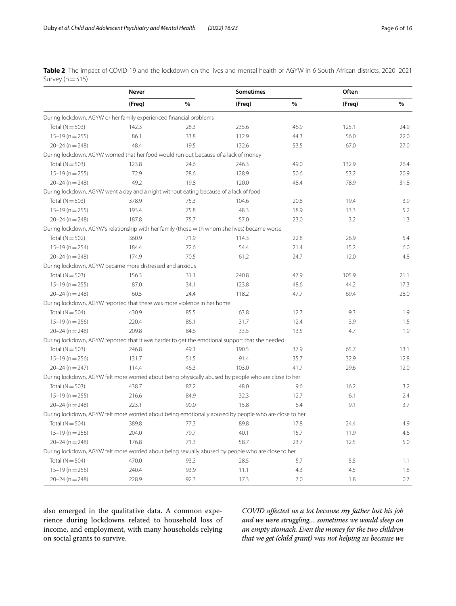<span id="page-5-0"></span>**Table 2** The impact of COVID-19 and the lockdown on the lives and mental health of AGYW in 6 South African districts, 2020–2021 Survey ( $n=515$ )

|                                                                                                       | Never  |               | <b>Sometimes</b> |      | Often  |               |
|-------------------------------------------------------------------------------------------------------|--------|---------------|------------------|------|--------|---------------|
|                                                                                                       | (Freq) | $\frac{0}{0}$ | (Freq)           | $\%$ | (Freq) | $\frac{0}{0}$ |
| During lockdown, AGYW or her family experienced financial problems                                    |        |               |                  |      |        |               |
| Total ( $N = 503$ )                                                                                   | 142.3  | 28.3          | 235.6            | 46.9 | 125.1  | 24.9          |
| $15-19(n=255)$                                                                                        | 86.1   | 33.8          | 112.9            | 44.3 | 56.0   | 22.0          |
| $20 - 24$ (n = 248)                                                                                   | 48.4   | 19.5          | 132.6            | 53.5 | 67.0   | 27.0          |
| During lockdown, AGYW worried that her food would run out because of a lack of money                  |        |               |                  |      |        |               |
| Total ( $N = 503$ )                                                                                   | 123.8  | 24.6          | 246.3            | 49.0 | 132.9  | 26.4          |
| $15-19$ (n = 255)                                                                                     | 72.9   | 28.6          | 128.9            | 50.6 | 53.2   | 20.9          |
| $20 - 24$ (n = 248)                                                                                   | 49.2   | 19.8          | 120.0            | 48.4 | 78.9   | 31.8          |
| During lockdown, AGYW went a day and a night without eating because of a lack of food                 |        |               |                  |      |        |               |
| Total ( $N = 503$ )                                                                                   | 378.9  | 75.3          | 104.6            | 20.8 | 19.4   | 3.9           |
| $15-19$ (n = 255)                                                                                     | 193.4  | 75.8          | 48.3             | 18.9 | 13.3   | 5.2           |
| $20 - 24$ (n = 248)                                                                                   | 187.8  | 75.7          | 57.0             | 23.0 | 3.2    | 1.3           |
| During lockdown, AGYW's relationship with her family (those with whom she lives) became worse         |        |               |                  |      |        |               |
| Total ( $N = 502$ )                                                                                   | 360.9  | 71.9          | 114.3            | 22.8 | 26.9   | 5.4           |
| $15-19(n=254)$                                                                                        | 184.4  | 72.6          | 54.4             | 21.4 | 15.2   | 6.0           |
| $20 - 24$ (n = 248)                                                                                   | 174.9  | 70.5          | 61.2             | 24.7 | 12.0   | 4.8           |
| During lockdown, AGYW became more distressed and anxious                                              |        |               |                  |      |        |               |
| Total ( $N = 503$ )                                                                                   | 156.3  | 31.1          | 240.8            | 47.9 | 105.9  | 21.1          |
| $15-19$ (n = 255)                                                                                     | 87.0   | 34.1          | 123.8            | 48.6 | 44.2   | 17.3          |
| $20 - 24$ (n = 248)                                                                                   | 60.5   | 24.4          | 118.2            | 47.7 | 69.4   | 28.0          |
| During lockdown, AGYW reported that there was more violence in her home                               |        |               |                  |      |        |               |
| Total ( $N = 504$ )                                                                                   | 430.9  | 85.5          | 63.8             | 12.7 | 9.3    | 1.9           |
| $15-19$ (n = 256)                                                                                     | 220.4  | 86.1          | 31.7             | 12.4 | 3.9    | 1.5           |
| $20 - 24$ (n = 248)                                                                                   | 209.8  | 84.6          | 33.5             | 13.5 | 4.7    | 1.9           |
| During lockdown, AGYW reported that it was harder to get the emotional support that she needed        |        |               |                  |      |        |               |
| Total ( $N = 503$ )                                                                                   | 246.8  | 49.1          | 190.5            | 37.9 | 65.7   | 13.1          |
| $15-19$ (n = 256)                                                                                     | 131.7  | 51.5          | 91.4             | 35.7 | 32.9   | 12.8          |
| $20 - 24(n = 247)$                                                                                    | 114.4  | 46.3          | 103.0            | 41.7 | 29.6   | 12.0          |
| During lockdown, AGYW felt more worried about being physically abused by people who are close to her  |        |               |                  |      |        |               |
| Total ( $N = 503$ )                                                                                   | 438.7  | 87.2          | 48.0             | 9.6  | 16.2   | 3.2           |
| $15-19(n=255)$                                                                                        | 216.6  | 84.9          | 32.3             | 12.7 | 6.1    | 2.4           |
| $20 - 24$ (n = 248)                                                                                   | 223.1  | 90.0          | 15.8             | 6.4  | 9.1    | 3.7           |
| During lockdown, AGYW felt more worried about being emotionally abused by people who are close to her |        |               |                  |      |        |               |
| Total ( $N = 504$ )                                                                                   | 389.8  | 77.3          | 89.8             | 17.8 | 24.4   | 4.9           |
| $15-19$ (n = 256)                                                                                     | 204.0  | 79.7          | 40.1             | 15.7 | 11.9   | 4.6           |
| $20 - 24(n = 248)$                                                                                    | 176.8  | 71.3          | 58.7             | 23.7 | 12.5   | 5.0           |
| During lockdown, AGYW felt more worried about being sexually abused by people who are close to her    |        |               |                  |      |        |               |
| Total ( $N = 504$ )                                                                                   | 470.0  | 93.3          | 28.5             | 5.7  | 5.5    | 1.1           |
| $15-19(n=256)$                                                                                        | 240.4  | 93.9          | 11.1             | 4.3  | 4.5    | 1.8           |
| $20 - 24$ (n = 248)                                                                                   | 228.9  | 92.3          | 17.3             | 7.0  | 1.8    | 0.7           |

also emerged in the qualitative data. A common experience during lockdowns related to household loss of income, and employment, with many households relying on social grants to survive.

*COVID afected us a lot because my father lost his job and we were struggling… sometimes we would sleep on an empty stomach. Even the money for the two children that we get (child grant) was not helping us because we*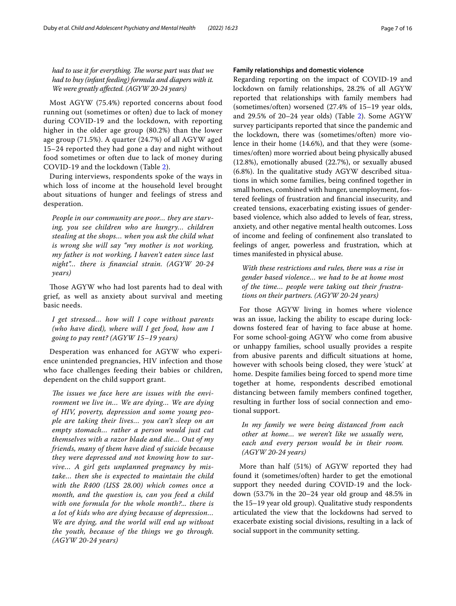*had to use it for everything. The worse part was that we had to buy (infant feeding) formula and diapers with it. We were greatly afected. (AGYW 20-24 years)*

Most AGYW (75.4%) reported concerns about food running out (sometimes or often) due to lack of money during COVID-19 and the lockdown, with reporting higher in the older age group (80.2%) than the lower age group (71.5%). A quarter (24.7%) of all AGYW aged 15–24 reported they had gone a day and night without food sometimes or often due to lack of money during COVID-19 and the lockdown (Table [2\)](#page-5-0).

During interviews, respondents spoke of the ways in which loss of income at the household level brought about situations of hunger and feelings of stress and desperation.

*People in our community are poor… they are starving, you see children who are hungry… children stealing at the shops… when you ask the child what is wrong she will say "my mother is not working, my father is not working, I haven't eaten since last night"… there is fnancial strain. (AGYW 20-24 years)*

Those AGYW who had lost parents had to deal with grief, as well as anxiety about survival and meeting basic needs.

*I get stressed… how will I cope without parents (who have died), where will I get food, how am I going to pay rent? (AGYW 15–19 years)*

Desperation was enhanced for AGYW who experience unintended pregnancies, HIV infection and those who face challenges feeding their babies or children, dependent on the child support grant.

The *issues* we face here are *issues* with the envi*ronment we live in… We are dying… We are dying of HIV, poverty, depression and some young people are taking their lives… you can't sleep on an empty stomach… rather a person would just cut themselves with a razor blade and die… Out of my friends, many of them have died of suicide because they were depressed and not knowing how to survive… A girl gets unplanned pregnancy by mistake… then she is expected to maintain the child with the R400 (US\$ 28.00) which comes once a month, and the question is, can you feed a child with one formula for the whole month?... there is a lot of kids who are dying because of depression… We are dying, and the world will end up without the youth, because of the things we go through. (AGYW 20-24 years)*

#### **Family relationships and domestic violence**

Regarding reporting on the impact of COVID-19 and lockdown on family relationships, 28.2% of all AGYW reported that relationships with family members had (sometimes/often) worsened (27.4% of 15–19 year olds, and 29.5% of 20–24 year olds) (Table [2](#page-5-0)). Some AGYW survey participants reported that since the pandemic and the lockdown, there was (sometimes/often) more violence in their home (14.6%), and that they were (sometimes/often) more worried about being physically abused (12.8%), emotionally abused (22.7%), or sexually abused (6.8%). In the qualitative study AGYW described situations in which some families, being confned together in small homes, combined with hunger, unemployment, fostered feelings of frustration and fnancial insecurity, and created tensions, exacerbating existing issues of genderbased violence, which also added to levels of fear, stress, anxiety, and other negative mental health outcomes. Loss of income and feeling of confnement also translated to feelings of anger, powerless and frustration, which at times manifested in physical abuse.

*With these restrictions and rules, there was a rise in gender based violence… we had to be at home most of the time… people were taking out their frustrations on their partners. (AGYW 20-24 years)*

For those AGYW living in homes where violence was an issue, lacking the ability to escape during lockdowns fostered fear of having to face abuse at home. For some school-going AGYW who come from abusive or unhappy families, school usually provides a respite from abusive parents and difficult situations at home, however with schools being closed, they were 'stuck' at home. Despite families being forced to spend more time together at home, respondents described emotional distancing between family members confned together, resulting in further loss of social connection and emotional support.

*In my family we were being distanced from each other at home… we weren't like we usually were, each and every person would be in their room. (AGYW 20-24 years)*

More than half (51%) of AGYW reported they had found it (sometimes/often) harder to get the emotional support they needed during COVID-19 and the lockdown (53.7% in the 20–24 year old group and 48.5% in the 15–19 year old group). Qualitative study respondents articulated the view that the lockdowns had served to exacerbate existing social divisions, resulting in a lack of social support in the community setting.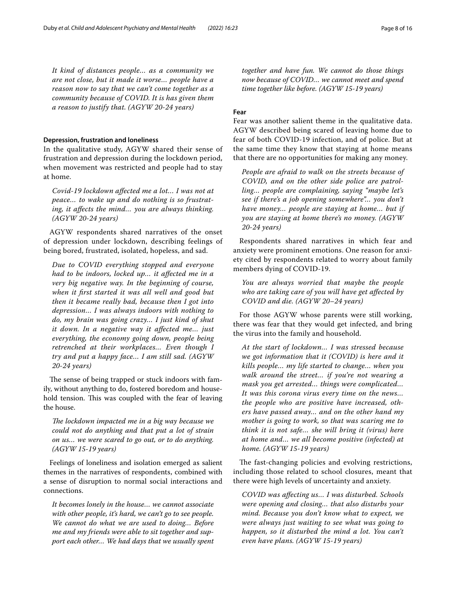*It kind of distances people… as a community we are not close, but it made it worse… people have a reason now to say that we can't come together as a community because of COVID. It is has given them a reason to justify that. (AGYW 20-24 years)*

#### **Depression, frustration and loneliness**

In the qualitative study, AGYW shared their sense of frustration and depression during the lockdown period, when movement was restricted and people had to stay at home.

*Covid-19 lockdown afected me a lot… I was not at peace… to wake up and do nothing is so frustrating, it afects the mind… you are always thinking. (AGYW 20-24 years)*

AGYW respondents shared narratives of the onset of depression under lockdown, describing feelings of being bored, frustrated, isolated, hopeless, and sad.

*Due to COVID everything stopped and everyone had to be indoors, locked up… it afected me in a very big negative way. In the beginning of course, when it frst started it was all well and good but then it became really bad, because then I got into depression… I was always indoors with nothing to do, my brain was going crazy… I just kind of shut it down. In a negative way it afected me… just everything, the economy going down, people being retrenched at their workplaces… Even though I try and put a happy face… I am still sad. (AGYW 20-24 years)*

The sense of being trapped or stuck indoors with family, without anything to do, fostered boredom and household tension. This was coupled with the fear of leaving the house.

*The lockdown impacted me in a big way because we could not do anything and that put a lot of strain on us… we were scared to go out, or to do anything. (AGYW 15-19 years)*

Feelings of loneliness and isolation emerged as salient themes in the narratives of respondents, combined with a sense of disruption to normal social interactions and connections.

*It becomes lonely in the house… we cannot associate with other people, it's hard, we can't go to see people. We cannot do what we are used to doing… Before me and my friends were able to sit together and support each other… We had days that we usually spent*  *together and have fun. We cannot do those things now because of COVID… we cannot meet and spend time together like before. (AGYW 15-19 years)*

#### **Fear**

Fear was another salient theme in the qualitative data. AGYW described being scared of leaving home due to fear of both COVID-19 infection, and of police. But at the same time they know that staying at home means that there are no opportunities for making any money.

*People are afraid to walk on the streets because of COVID, and on the other side police are patrolling… people are complaining, saying "maybe let's see if there's a job opening somewhere"… you don't have money… people are staying at home… but if you are staying at home there's no money. (AGYW 20-24 years)*

Respondents shared narratives in which fear and anxiety were prominent emotions. One reason for anxiety cited by respondents related to worry about family members dying of COVID-19.

*You are always worried that maybe the people who are taking care of you will have get afected by COVID and die. (AGYW 20–24 years)*

For those AGYW whose parents were still working, there was fear that they would get infected, and bring the virus into the family and household.

*At the start of lockdown… I was stressed because we got information that it (COVID) is here and it kills people… my life started to change… when you walk around the street… if you're not wearing a mask you get arrested… things were complicated… It was this corona virus every time on the news… the people who are positive have increased, others have passed away… and on the other hand my mother is going to work, so that was scaring me to think it is not safe… she will bring it (virus) here at home and… we all become positive (infected) at home. (AGYW 15-19 years)*

The fast-changing policies and evolving restrictions, including those related to school closures, meant that there were high levels of uncertainty and anxiety.

*COVID was afecting us… I was disturbed. Schools were opening and closing… that also disturbs your mind. Because you don't know what to expect, we were always just waiting to see what was going to happen, so it disturbed the mind a lot. You can't even have plans. (AGYW 15-19 years)*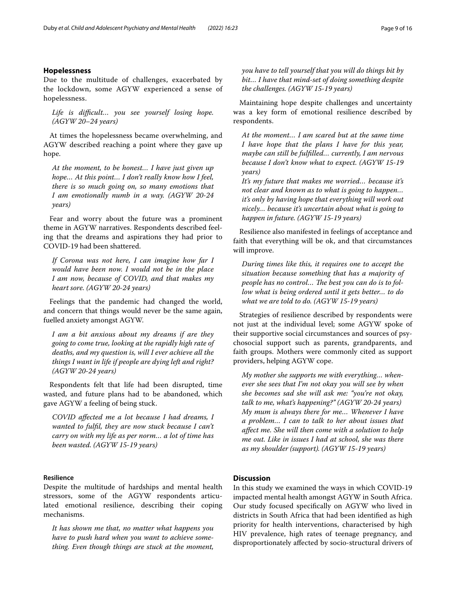#### **Hopelessness**

Due to the multitude of challenges, exacerbated by the lockdown, some AGYW experienced a sense of hopelessness.

*Life is difcult… you see yourself losing hope. (AGYW 20–24 years)*

At times the hopelessness became overwhelming, and AGYW described reaching a point where they gave up hope.

*At the moment, to be honest… I have just given up hope… At this point… I don't really know how I feel, there is so much going on, so many emotions that I am emotionally numb in a way. (AGYW 20-24 years)*

Fear and worry about the future was a prominent theme in AGYW narratives. Respondents described feeling that the dreams and aspirations they had prior to COVID-19 had been shattered.

*If Corona was not here, I can imagine how far I would have been now. I would not be in the place I am now, because of COVID, and that makes my heart sore. (AGYW 20-24 years)*

Feelings that the pandemic had changed the world, and concern that things would never be the same again, fuelled anxiety amongst AGYW.

*I am a bit anxious about my dreams if are they going to come true, looking at the rapidly high rate of deaths, and my question is, will I ever achieve all the things I want in life if people are dying left and right? (AGYW 20-24 years)*

Respondents felt that life had been disrupted, time wasted, and future plans had to be abandoned, which gave AGYW a feeling of being stuck.

*COVID afected me a lot because I had dreams, I wanted to fulfl, they are now stuck because I can't carry on with my life as per norm… a lot of time has been wasted. (AGYW 15-19 years)*

#### **Resilience**

Despite the multitude of hardships and mental health stressors, some of the AGYW respondents articulated emotional resilience, describing their coping mechanisms.

*It has shown me that, no matter what happens you have to push hard when you want to achieve something. Even though things are stuck at the moment,* 

*you have to tell yourself that you will do things bit by bit… I have that mind-set of doing something despite the challenges. (AGYW 15-19 years)*

Maintaining hope despite challenges and uncertainty was a key form of emotional resilience described by respondents.

*At the moment… I am scared but at the same time I have hope that the plans I have for this year, maybe can still be fulflled… currently, I am nervous because I don't know what to expect. (AGYW 15-19 years)*

*It's my future that makes me worried… because it's not clear and known as to what is going to happen… it's only by having hope that everything will work out nicely… because it's uncertain about what is going to happen in future. (AGYW 15-19 years)*

Resilience also manifested in feelings of acceptance and faith that everything will be ok, and that circumstances will improve.

*During times like this, it requires one to accept the situation because something that has a majority of people has no control... The best you can do is to follow what is being ordered until it gets better… to do what we are told to do. (AGYW 15-19 years)*

Strategies of resilience described by respondents were not just at the individual level; some AGYW spoke of their supportive social circumstances and sources of psychosocial support such as parents, grandparents, and faith groups. Mothers were commonly cited as support providers, helping AGYW cope.

*My mother she supports me with everything… whenever she sees that I'm not okay you will see by when she becomes sad she will ask me: "you're not okay, talk to me, what's happening?" (AGYW 20-24 years) My mum is always there for me… Whenever I have a problem… I can to talk to her about issues that afect me. She will then come with a solution to help me out. Like in issues I had at school, she was there as my shoulder (support). (AGYW 15-19 years)*

#### **Discussion**

In this study we examined the ways in which COVID-19 impacted mental health amongst AGYW in South Africa. Our study focused specifcally on AGYW who lived in districts in South Africa that had been identifed as high priority for health interventions, characterised by high HIV prevalence, high rates of teenage pregnancy, and disproportionately afected by socio-structural drivers of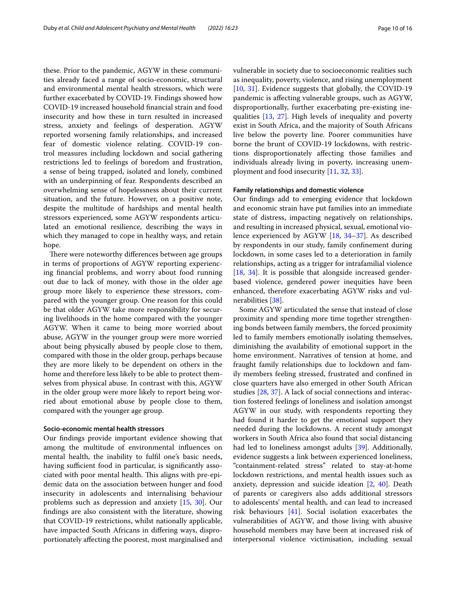these. Prior to the pandemic, AGYW in these communities already faced a range of socio-economic, structural and environmental mental health stressors, which were further exacerbated by COVID-19. Findings showed how COVID-19 increased household fnancial strain and food insecurity and how these in turn resulted in increased stress, anxiety and feelings of desperation. AGYW reported worsening family relationships, and increased fear of domestic violence relating. COVID-19 control measures including lockdown and social gathering restrictions led to feelings of boredom and frustration, a sense of being trapped, isolated and lonely, combined with an underpinning of fear. Respondents described an overwhelming sense of hopelessness about their current situation, and the future. However, on a positive note, despite the multitude of hardships and mental health stressors experienced, some AGYW respondents articulated an emotional resilience, describing the ways in which they managed to cope in healthy ways, and retain hope.

There were noteworthy differences between age groups in terms of proportions of AGYW reporting experiencing fnancial problems, and worry about food running out due to lack of money, with those in the older age group more likely to experience these stressors, compared with the younger group. One reason for this could be that older AGYW take more responsibility for securing livelihoods in the home compared with the younger AGYW. When it came to being more worried about abuse, AGYW in the younger group were more worried about being physically abused by people close to them, compared with those in the older group, perhaps because they are more likely to be dependent on others in the home and therefore less likely to be able to protect themselves from physical abuse. In contrast with this, AGYW in the older group were more likely to report being worried about emotional abuse by people close to them, compared with the younger age group.

#### **Socio-economic mental health stressors**

Our fndings provide important evidence showing that among the multitude of environmental infuences on mental health, the inability to fulfl one's basic needs, having sufficient food in particular, is significantly associated with poor mental health. This aligns with pre-epidemic data on the association between hunger and food insecurity in adolescents and internalising behaviour problems such as depression and anxiety [\[15](#page-14-6), [30](#page-14-22)]. Our fndings are also consistent with the literature, showing that COVID-19 restrictions, whilst nationally applicable, have impacted South Africans in difering ways, disproportionately afecting the poorest, most marginalised and vulnerable in society due to socioeconomic realities such as inequality, poverty, violence, and rising unemployment [[10,](#page-14-2) [31](#page-14-23)]. Evidence suggests that globally, the COVID-19 pandemic is afecting vulnerable groups, such as AGYW, disproportionally, further exacerbating pre-existing inequalities [\[13](#page-14-17), [27\]](#page-14-19). High levels of inequality and poverty exist in South Africa, and the majority of South Africans live below the poverty line. Poorer communities have borne the brunt of COVID-19 lockdowns, with restrictions disproportionately afecting those families and individuals already living in poverty, increasing unemployment and food insecurity [\[11](#page-14-3), [32,](#page-14-24) [33](#page-14-25)].

#### **Family relationships and domestic violence**

Our fndings add to emerging evidence that lockdown and economic strain have put families into an immediate state of distress, impacting negatively on relationships, and resulting in increased physical, sexual, emotional violence experienced by AGYW [[18,](#page-14-9) [34](#page-14-26)[–37](#page-14-27)]. As described by respondents in our study, family confnement during lockdown, in some cases led to a deterioration in family relationships, acting as a trigger for intrafamilial violence [[18,](#page-14-9) [34\]](#page-14-26). It is possible that alongside increased genderbased violence, gendered power inequities have been enhanced, therefore exacerbating AGYW risks and vulnerabilities [\[38](#page-14-28)].

Some AGYW articulated the sense that instead of close proximity and spending more time together strengthening bonds between family members, the forced proximity led to family members emotionally isolating themselves, diminishing the availability of emotional support in the home environment. Narratives of tension at home, and fraught family relationships due to lockdown and family members feeling stressed, frustrated and confned in close quarters have also emerged in other South African studies [\[28,](#page-14-20) [37\]](#page-14-27). A lack of social connections and interaction fostered feelings of loneliness and isolation amongst AGYW in our study, with respondents reporting they had found it harder to get the emotional support they needed during the lockdowns. A recent study amongst workers in South Africa also found that social distancing had led to loneliness amongst adults [\[39\]](#page-14-29). Additionally, evidence suggests a link between experienced loneliness, "containment-related stress" related to stay-at-home lockdown restrictions, and mental health issues such as anxiety, depression and suicide ideation [[2](#page-13-1), [40\]](#page-14-30). Death of parents or caregivers also adds additional stressors to adolescents' mental health, and can lead to increased risk behaviours [[41](#page-14-31)]. Social isolation exacerbates the vulnerabilities of AGYW, and those living with abusive household members may have been at increased risk of interpersonal violence victimisation, including sexual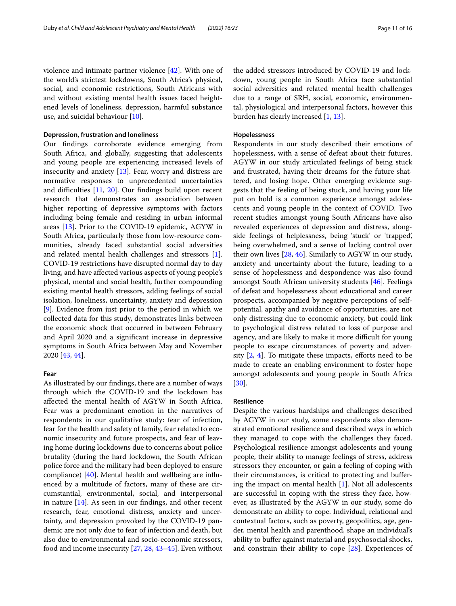violence and intimate partner violence [\[42](#page-14-32)]. With one of the world's strictest lockdowns, South Africa's physical, social, and economic restrictions, South Africans with and without existing mental health issues faced heightened levels of loneliness, depression, harmful substance use, and suicidal behaviour [\[10](#page-14-2)].

#### **Depression, frustration and loneliness**

Our fndings corroborate evidence emerging from South Africa, and globally, suggesting that adolescents and young people are experiencing increased levels of insecurity and anxiety [[13](#page-14-17)]. Fear, worry and distress are normative responses to unprecedented uncertainties and difficulties  $[11, 20]$  $[11, 20]$  $[11, 20]$  $[11, 20]$  $[11, 20]$ . Our findings build upon recent research that demonstrates an association between higher reporting of depressive symptoms with factors including being female and residing in urban informal areas [[13](#page-14-17)]. Prior to the COVID-19 epidemic, AGYW in South Africa, particularly those from low-resource communities, already faced substantial social adversities and related mental health challenges and stressors [\[1](#page-13-0)]. COVID-19 restrictions have disrupted normal day to day living, and have afected various aspects of young people's physical, mental and social health, further compounding existing mental health stressors, adding feelings of social isolation, loneliness, uncertainty, anxiety and depression [[9\]](#page-14-1). Evidence from just prior to the period in which we collected data for this study, demonstrates links between the economic shock that occurred in between February and April 2020 and a signifcant increase in depressive symptoms in South Africa between May and November 2020 [[43,](#page-14-33) [44](#page-14-34)].

#### **Fear**

As illustrated by our fndings, there are a number of ways through which the COVID-19 and the lockdown has afected the mental health of AGYW in South Africa. Fear was a predominant emotion in the narratives of respondents in our qualitative study: fear of infection, fear for the health and safety of family, fear related to economic insecurity and future prospects, and fear of leaving home during lockdowns due to concerns about police brutality (during the hard lockdown, the South African police force and the military had been deployed to ensure compliance) [\[40\]](#page-14-30). Mental health and wellbeing are infuenced by a multitude of factors, many of these are circumstantial, environmental, social, and interpersonal in nature [[14\]](#page-14-5). As seen in our fndings, and other recent research, fear, emotional distress, anxiety and uncertainty, and depression provoked by the COVID-19 pandemic are not only due to fear of infection and death, but also due to environmental and socio-economic stressors, food and income insecurity [\[27,](#page-14-19) [28](#page-14-20), [43–](#page-14-33)[45\]](#page-15-1). Even without the added stressors introduced by COVID-19 and lockdown, young people in South Africa face substantial social adversities and related mental health challenges due to a range of SRH, social, economic, environmental, physiological and interpersonal factors, however this burden has clearly increased [\[1,](#page-13-0) [13](#page-14-17)].

#### **Hopelessness**

Respondents in our study described their emotions of hopelessness, with a sense of defeat about their futures. AGYW in our study articulated feelings of being stuck and frustrated, having their dreams for the future shattered, and losing hope. Other emerging evidence suggests that the feeling of being stuck, and having your life put on hold is a common experience amongst adolescents and young people in the context of COVID. Two recent studies amongst young South Africans have also revealed experiences of depression and distress, alongside feelings of helplessness, being 'stuck' or 'trapped', being overwhelmed, and a sense of lacking control over their own lives [\[28,](#page-14-20) [46\]](#page-15-2). Similarly to AGYW in our study, anxiety and uncertainty about the future, leading to a sense of hopelessness and despondence was also found amongst South African university students [\[46](#page-15-2)]. Feelings of defeat and hopelessness about educational and career prospects, accompanied by negative perceptions of selfpotential, apathy and avoidance of opportunities, are not only distressing due to economic anxiety, but could link to psychological distress related to loss of purpose and agency, and are likely to make it more difficult for young people to escape circumstances of poverty and adversity  $[2, 4]$  $[2, 4]$  $[2, 4]$  $[2, 4]$  $[2, 4]$ . To mitigate these impacts, efforts need to be made to create an enabling environment to foster hope amongst adolescents and young people in South Africa [[30\]](#page-14-22).

#### **Resilience**

Despite the various hardships and challenges described by AGYW in our study, some respondents also demonstrated emotional resilience and described ways in which they managed to cope with the challenges they faced. Psychological resilience amongst adolescents and young people, their ability to manage feelings of stress, address stressors they encounter, or gain a feeling of coping with their circumstances, is critical to protecting and bufering the impact on mental health [[1\]](#page-13-0). Not all adolescents are successful in coping with the stress they face, however, as illustrated by the AGYW in our study, some do demonstrate an ability to cope. Individual, relational and contextual factors, such as poverty, geopolitics, age, gender, mental health and parenthood, shape an individual's ability to bufer against material and psychosocial shocks, and constrain their ability to cope [[28\]](#page-14-20). Experiences of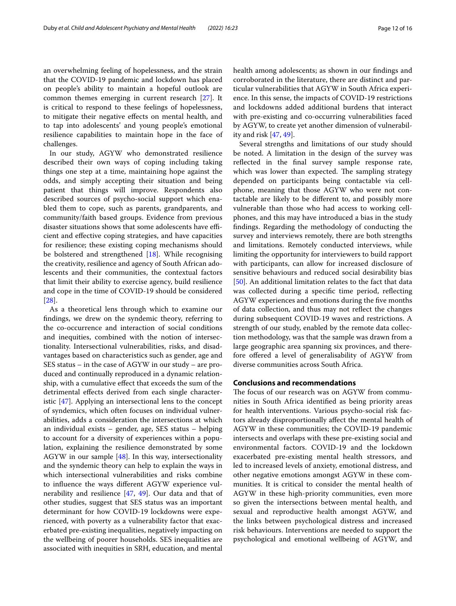an overwhelming feeling of hopelessness, and the strain that the COVID-19 pandemic and lockdown has placed on people's ability to maintain a hopeful outlook are common themes emerging in current research [\[27](#page-14-19)]. It is critical to respond to these feelings of hopelessness, to mitigate their negative efects on mental health, and to tap into adolescents' and young people's emotional resilience capabilities to maintain hope in the face of challenges.

In our study, AGYW who demonstrated resilience described their own ways of coping including taking things one step at a time, maintaining hope against the odds, and simply accepting their situation and being patient that things will improve. Respondents also described sources of psycho-social support which enabled them to cope, such as parents, grandparents, and community/faith based groups. Evidence from previous disaster situations shows that some adolescents have efficient and efective coping strategies, and have capacities for resilience; these existing coping mechanisms should be bolstered and strengthened [\[18\]](#page-14-9). While recognising the creativity, resilience and agency of South African adolescents and their communities, the contextual factors that limit their ability to exercise agency, build resilience and cope in the time of COVID-19 should be considered [[28\]](#page-14-20).

As a theoretical lens through which to examine our fndings, we drew on the syndemic theory, referring to the co-occurrence and interaction of social conditions and inequities, combined with the notion of intersectionality. Intersectional vulnerabilities, risks, and disadvantages based on characteristics such as gender, age and SES status – in the case of AGYW in our study – are produced and continually reproduced in a dynamic relationship, with a cumulative efect that exceeds the sum of the detrimental efects derived from each single characteristic [[47\]](#page-15-3). Applying an intersectional lens to the concept of syndemics, which often focuses on individual vulnerabilities, adds a consideration the intersections at which an individual exists – gender, age, SES status – helping to account for a diversity of experiences within a population, explaining the resilience demonstrated by some AGYW in our sample [\[48](#page-15-4)]. In this way, intersectionality and the syndemic theory can help to explain the ways in which intersectional vulnerabilities and risks combine to infuence the ways diferent AGYW experience vulnerability and resilience [[47,](#page-15-3) [49\]](#page-15-5). Our data and that of other studies, suggest that SES status was an important determinant for how COVID-19 lockdowns were experienced, with poverty as a vulnerability factor that exacerbated pre-existing inequalities, negatively impacting on the wellbeing of poorer households. SES inequalities are associated with inequities in SRH, education, and mental health among adolescents; as shown in our fndings and corroborated in the literature, there are distinct and particular vulnerabilities that AGYW in South Africa experience. In this sense, the impacts of COVID-19 restrictions and lockdowns added additional burdens that interact with pre-existing and co-occurring vulnerabilities faced by AGYW, to create yet another dimension of vulnerability and risk [[47](#page-15-3), [49\]](#page-15-5).

Several strengths and limitations of our study should be noted. A limitation in the design of the survey was reflected in the final survey sample response rate, which was lower than expected. The sampling strategy depended on participants being contactable via cellphone, meaning that those AGYW who were not contactable are likely to be diferent to, and possibly more vulnerable than those who had access to working cellphones, and this may have introduced a bias in the study fndings. Regarding the methodology of conducting the survey and interviews remotely, there are both strengths and limitations. Remotely conducted interviews, while limiting the opportunity for interviewers to build rapport with participants, can allow for increased disclosure of sensitive behaviours and reduced social desirability bias [[50\]](#page-15-0). An additional limitation relates to the fact that data was collected during a specifc time period, refecting AGYW experiences and emotions during the fve months of data collection, and thus may not refect the changes during subsequent COVID-19 waves and restrictions. A strength of our study, enabled by the remote data collection methodology, was that the sample was drawn from a large geographic area spanning six provinces, and therefore offered a level of generalisability of AGYW from diverse communities across South Africa.

#### **Conclusions and recommendations**

The focus of our research was on AGYW from communities in South Africa identifed as being priority areas for health interventions. Various psycho-social risk factors already disproportionally afect the mental health of AGYW in these communities; the COVID-19 pandemic intersects and overlaps with these pre-existing social and environmental factors. COVID-19 and the lockdown exacerbated pre-existing mental health stressors, and led to increased levels of anxiety, emotional distress, and other negative emotions amongst AGYW in these communities. It is critical to consider the mental health of AGYW in these high-priority communities, even more so given the intersections between mental health, and sexual and reproductive health amongst AGYW, and the links between psychological distress and increased risk behaviours. Interventions are needed to support the psychological and emotional wellbeing of AGYW, and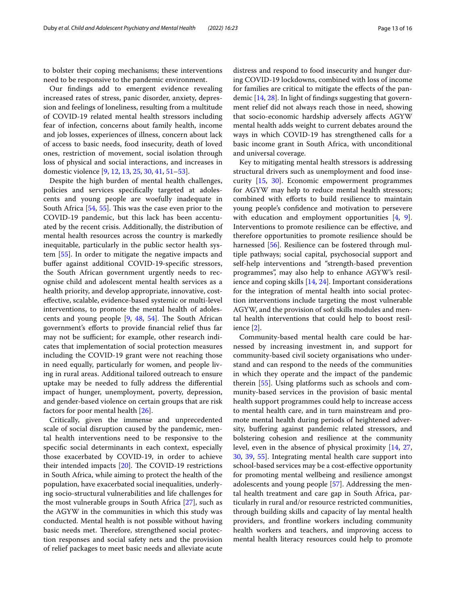to bolster their coping mechanisms; these interventions need to be responsive to the pandemic environment.

Our fndings add to emergent evidence revealing increased rates of stress, panic disorder, anxiety, depression and feelings of loneliness, resulting from a multitude of COVID-19 related mental health stressors including fear of infection, concerns about family health, income and job losses, experiences of illness, concern about lack of access to basic needs, food insecurity, death of loved ones, restriction of movement, social isolation through loss of physical and social interactions, and increases in domestic violence [\[9](#page-14-1), [12,](#page-14-4) [13](#page-14-17), [25,](#page-14-11) [30,](#page-14-22) [41](#page-14-31), [51–](#page-15-6)[53](#page-15-7)].

Despite the high burden of mental health challenges, policies and services specifcally targeted at adolescents and young people are woefully inadequate in South Africa [[54,](#page-15-8) [55](#page-15-9)]. This was the case even prior to the COVID-19 pandemic, but this lack has been accentuated by the recent crisis. Additionally, the distribution of mental health resources across the country is markedly inequitable, particularly in the public sector health system [\[55](#page-15-9)]. In order to mitigate the negative impacts and bufer against additional COVID-19-specifc stressors, the South African government urgently needs to recognise child and adolescent mental health services as a health priority, and develop appropriate, innovative, costefective, scalable, evidence-based systemic or multi-level interventions, to promote the mental health of adolescents and young people  $[9, 48, 54]$  $[9, 48, 54]$  $[9, 48, 54]$  $[9, 48, 54]$  $[9, 48, 54]$  $[9, 48, 54]$ . The South African government's eforts to provide fnancial relief thus far may not be sufficient; for example, other research indicates that implementation of social protection measures including the COVID-19 grant were not reaching those in need equally, particularly for women, and people living in rural areas. Additional tailored outreach to ensure uptake may be needed to fully address the diferential impact of hunger, unemployment, poverty, depression, and gender-based violence on certain groups that are risk factors for poor mental health [[26](#page-14-18)].

Critically, given the immense and unprecedented scale of social disruption caused by the pandemic, mental health interventions need to be responsive to the specifc social determinants in each context, especially those exacerbated by COVID-19, in order to achieve their intended impacts  $[20]$  $[20]$ . The COVID-19 restrictions in South Africa, while aiming to protect the health of the population, have exacerbated social inequalities, underlying socio-structural vulnerabilities and life challenges for the most vulnerable groups in South Africa [\[27](#page-14-19)], such as the AGYW in the communities in which this study was conducted. Mental health is not possible without having basic needs met. Therefore, strengthened social protection responses and social safety nets and the provision of relief packages to meet basic needs and alleviate acute distress and respond to food insecurity and hunger during COVID-19 lockdowns, combined with loss of income for families are critical to mitigate the efects of the pandemic [\[14,](#page-14-5) [28](#page-14-20)]. In light of fndings suggesting that government relief did not always reach those in need, showing that socio-economic hardship adversely afects AGYW mental health adds weight to current debates around the ways in which COVID-19 has strengthened calls for a basic income grant in South Africa, with unconditional and universal coverage.

Key to mitigating mental health stressors is addressing structural drivers such as unemployment and food insecurity [\[15](#page-14-6), [30\]](#page-14-22). Economic empowerment programmes for AGYW may help to reduce mental health stressors; combined with efforts to build resilience to maintain young people's confdence and motivation to persevere with education and employment opportunities [[4,](#page-13-3) [9](#page-14-1)]. Interventions to promote resilience can be efective, and therefore opportunities to promote resilience should be harnessed [\[56](#page-15-10)]. Resilience can be fostered through multiple pathways; social capital, psychosocial support and self-help interventions and "strength-based prevention programmes", may also help to enhance AGYW's resilience and coping skills [\[14,](#page-14-5) [24](#page-14-16)]. Important considerations for the integration of mental health into social protection interventions include targeting the most vulnerable AGYW, and the provision of soft skills modules and mental health interventions that could help to boost resilience [[2](#page-13-1)].

Community-based mental health care could be harnessed by increasing investment in, and support for community-based civil society organisations who understand and can respond to the needs of the communities in which they operate and the impact of the pandemic therein [[55\]](#page-15-9). Using platforms such as schools and community-based services in the provision of basic mental health support programmes could help to increase access to mental health care, and in turn mainstream and promote mental health during periods of heightened adversity, buffering against pandemic related stressors, and bolstering cohesion and resilience at the community level, even in the absence of physical proximity [[14,](#page-14-5) [27](#page-14-19), [30,](#page-14-22) [39](#page-14-29), [55](#page-15-9)]. Integrating mental health care support into school-based services may be a cost-efective opportunity for promoting mental wellbeing and resilience amongst adolescents and young people [\[57\]](#page-15-11). Addressing the mental health treatment and care gap in South Africa, particularly in rural and/or resource restricted communities, through building skills and capacity of lay mental health providers, and frontline workers including community health workers and teachers, and improving access to mental health literacy resources could help to promote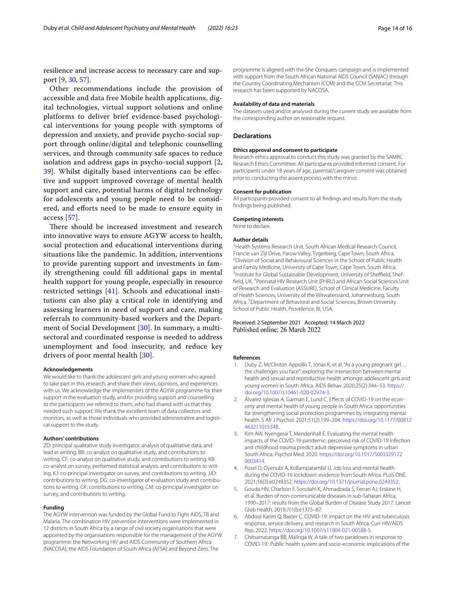resilience and increase access to necessary care and support [[9,](#page-14-1) [30](#page-14-22), [57\]](#page-15-11).

Other recommendations include the provision of accessible and data free Mobile health applications, digital technologies, virtual support solutions and online platforms to deliver brief evidence-based psychological interventions for young people with symptoms of depression and anxiety, and provide psycho-social support through online/digital and telephonic counselling services, and through community safe spaces to reduce isolation and address gaps in psycho-social support [\[2](#page-13-1), [39\]](#page-14-29). Whilst digitally based interventions can be efective and support improved coverage of mental health support and care, potential harms of digital technology for adolescents and young people need to be considered, and eforts need to be made to ensure equity in access [[57\]](#page-15-11).

There should be increased investment and research into innovative ways to ensure AGYW access to health, social protection and educational interventions during situations like the pandemic. In addition, interventions to provide parenting support and investments in family strengthening could fll additional gaps in mental health support for young people, especially in resource restricted settings [[41\]](#page-14-31). Schools and educational institutions can also play a critical role in identifying and assessing learners in need of support and care, making referrals to community-based workers and the Department of Social Development [[30](#page-14-22)]. In summary, a multisectoral and coordinated response is needed to address unemployment and food insecurity, and reduce key drivers of poor mental health [[30\]](#page-14-22).

#### **Acknowledgements**

We would like to thank the adolescent girls and young women who agreed to take part in this research, and share their views, opinions, and experiences with us. We acknowledge the implementers of the AGYW programme for their support in the evaluation study, and for providing support and counselling to the participants we referred to them, who had shared with us that they needed such support. We thank the excellent team of data collectors and monitors, as well as those individuals who provided administrative and logistical support to the study.

#### **Authors' contributions**

ZD: principal qualitative study investigator, analysis of qualitative data, and lead in writing. BB: co-analyst on qualitative study, and contributions to writing. CF: co-analyst on qualitative study, and contributions to writing. KB: co-analyst on survey, performed statistical analysis, and contributions to writing. KJ: co-principal investigator on survey, and contributions to writing. JJD: contributions to writing. DG: co-investigator of evaluation study and contributions to writing. CK: contributions to writing. CM: co-principal investigator on survey, and contributions to writing.

#### **Funding**

The AGYW intervention was funded by the Global Fund to Fight AIDS, TB and Malaria. The combination HIV prevention interventions were implemented in 12 districts in South Africa by a range of civil society organisations that were appointed by the organisations responsible for the management of the AGYW programme: the Networking HIV and AIDS Community of Southern Africa (NACOSA); the AIDS Foundation of South Africa (AFSA) and Beyond Zero. The

programme is aligned with the She Conquers campaign and is implemented with support from the South African National AIDS Council (SANAC) through the Country Coordinating Mechanism (CCM) and the CCM Secretariat. This research has been supported by NACOSA.

#### **Availability of data and materials**

The datasets used and/or analysed during the current study are available from the corresponding author on reasonable request.

#### **Declarations**

#### **Ethics approval and consent to participate**

Research ethics approval to conduct this study was granted by the SAMRC Research Ethics Committee. All participants provided informed consent. For participants under 18 years of age, parental/caregiver consent was obtained prior to conducting the assent process with the minor.

#### **Consent for publication**

All participants provided consent to all fndings and results from the study fndings being published.

#### **Competing interests**

None to declare.

#### **Author details**

<sup>1</sup> Health Systems Research Unit, South African Medical Research Council, Francie van Zijl Drive, Parow Valley, Tygerberg, Cape Town, South Africa. <sup>2</sup> Division of Social and Behavioural Sciences in the School of Public Health and Family Medicine, University of Cape Town, Cape Town, South Africa. <sup>3</sup>Institute for Global Sustainable Development, University of Sheffield, Sheffield, UK. <sup>4</sup> Perinatal HIV Research Unit (PHRU) and African Social Sciences Unit of Research and Evaluation (ASSURE), School of Clinical Medicine, Faculty of Health Sciences, University of the Witwatersrand, Johannesburg, South Africa.<sup>5</sup> Department of Behavioral and Social Sciences, Brown University School of Public Health, Providence, RI, USA.

# Received: 2 September 2021 Accepted: 14 March 2022

#### **References**

- <span id="page-13-0"></span>1. Duby Z, McClinton Appollis T, Jonas K, et al. "As a young pregnant girl... the challenges you face": exploring the intersection between mental health and sexual and reproductive health amongst adolescent girls and young women in South Africa. AIDS Behav. 2020;25(2):344–53. [https://](https://doi.org/10.1007/s10461-020-02974-3) [doi.org/10.1007/s10461-020-02974-3](https://doi.org/10.1007/s10461-020-02974-3).
- <span id="page-13-1"></span>2. Álvarez-Iglesias A, Garman E, Lund C. Efects of COVID-19 on the economy and mental health of young people in South Africa: opportunities for strengthening social protection programmes by integrating mental health. S Afr J Psychol. 2021;51(2):199–204. [https://doi.org/10.1177/00812](https://doi.org/10.1177/00812463211015348) [463211015348.](https://doi.org/10.1177/00812463211015348)
- <span id="page-13-2"></span>3. Kim AW, Nyengerai T, Mendenhall E. Evaluating the mental health impacts of the COVID-19 pandemic: perceived risk of COVID-19 infection and childhood trauma predict adult depressive symptoms in urban South Africa. Psychol Med. 2020. [https://doi.org/10.1017/S003329172](https://doi.org/10.1017/S0033291720003414) [0003414](https://doi.org/10.1017/S0033291720003414).
- <span id="page-13-3"></span>4. Posel D, Oyenubi A, Kollamparambil U. Job loss and mental health during the COVID-19 lockdown: evidence from South Africa. PLoS ONE. 2021;16(3):e0249352. [https://doi.org/10.1371/journal.pone.0249352.](https://doi.org/10.1371/journal.pone.0249352)
- <span id="page-13-4"></span>5. Gouda HN, Charlson F, Sorsdahl K, Ahmadzada S, Ferrari AJ, Erskine H, et al. Burden of non-communicable diseases in sub-Saharan Africa, 1990–2017: results from the Global Burden of Disease Study 2017. Lancet Glob Health. 2019;7(10):e1375–87.
- <span id="page-13-5"></span>Abdool Karim Q, Baxter C. COVID-19: impact on the HIV and tuberculosis response, service delivery, and research in South Africa. Curr HIV/AIDS Rep. 2022. <https://doi.org/10.1007/s11904-021-00588-5>.
- <span id="page-13-6"></span>7. Chitsamatanga BB, Malinga W. A tale of two paradoxes in response to COVID-19': Public health system and socio-economic implications of the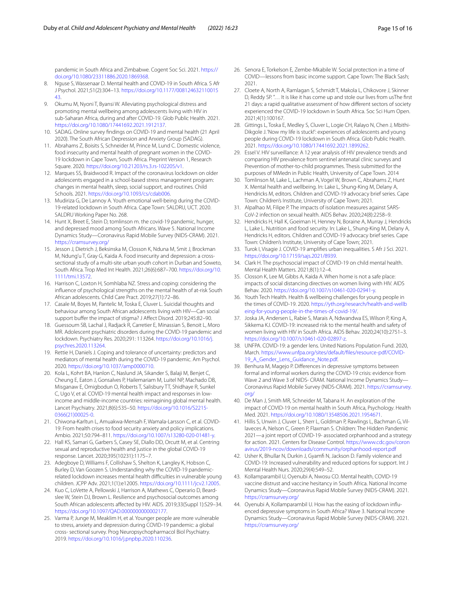pandemic in South Africa and Zimbabwe. Cogent Soc Sci. 2021. [https://](https://doi.org/10.1080/23311886.2020.1869368) [doi.org/10.1080/23311886.2020.1869368.](https://doi.org/10.1080/23311886.2020.1869368)

- <span id="page-14-0"></span>8. Nguse S, Wassenaar D. Mental health and COVID-19 in South Africa. S Afr J Psychol. 2021;51(2):304–13. [https://doi.org/10.1177/008124632110015](https://doi.org/10.1177/00812463211001543) [43](https://doi.org/10.1177/00812463211001543).
- <span id="page-14-1"></span>9. Okumu M, Nyoni T, Byansi W. Alleviating psychological distress and promoting mental wellbeing among adolescents living with HIV in sub-Saharan Africa, during and after COVID-19. Glob Public Health. 2021. [https://doi.org/10.1080/17441692.2021.1912137.](https://doi.org/10.1080/17441692.2021.1912137)
- <span id="page-14-2"></span>10. SADAG. Online survey fndings on COVID-19 and mental health (21 April 2020). The South African Depression and Anxiety Group (SADAG).
- <span id="page-14-3"></span>11. Abrahams Z, Boisits S, Schneider M, Prince M, Lund C. Domestic violence, food insecurity and mental health of pregnant women in the COVID-19 lockdown in Cape Town, South Africa. Preprint Version 1, Research Square. 2020. <https://doi.org/10.21203/rs.3.rs-102205/v1>.
- <span id="page-14-4"></span>12. Marques SS, Braidwood R. Impact of the coronavirus lockdown on older adolescents engaged in a school-based stress management program: changes in mental health, sleep, social support, and routines. Child Schools. 2021. [https://doi.org/10.1093/cs/cdab006.](https://doi.org/10.1093/cs/cdab006)
- <span id="page-14-17"></span>13. Mudiriza G, De Lannoy A. Youth emotional well-being during the COVID-19-related lockdown in South Africa. Cape Town: SALDRU, UCT. 2020. SALDRU Working Paper No. 268.
- <span id="page-14-5"></span>14. Hunt X, Breet E, Stein D, tomlinson m. the covid-19 pandemic, hunger, and depressed mood among South Africans. Wave 5. National Income Dynamics Study—Coronavirus Rapid Mobile Survey (NIDS-CRAM). 2021. <https://cramsurvey.org/>
- <span id="page-14-6"></span>15. Jesson J, Dietrich J, Beksinska M, Closson K, Nduna M, Smit J, Brockman M, Ndung'u T, Gray G, Kaida A. Food insecurity and depression: a crosssectional study of a multi-site urban youth cohort in Durban and Soweto, South Africa. Trop Med Int Health. 2021;26(6):687–700. [https://doi.org/10.](https://doi.org/10.1111/tmi.13572) [1111/tmi.13572.](https://doi.org/10.1111/tmi.13572)
- <span id="page-14-7"></span>16. Harrison C, Loxton H, Somhlaba NZ. Stress and coping: considering the infuence of psychological strengths on the mental health of at-risk South African adolescents. Child Care Pract. 2019;27(1):72–86.
- <span id="page-14-8"></span>17. Casale M, Boyes M, Pantelic M, Toska E, Cluver L. Suicidal thoughts and behaviour among South African adolescents living with HIV—Can social support buffer the impact of stigma? J Affect Disord. 2019;245:82-90.
- <span id="page-14-9"></span>18. Guessoum SB, Lachal J, Radjack R, Carretier E, Minassian S, Benoit L, Moro MR. Adolescent psychiatric disorders during the COVID-19 pandemic and lockdown. Psychiatry Res. 2020;291: 113264. [https://doi.org/10.1016/j.](https://doi.org/10.1016/j.psychres.2020.113264) [psychres.2020.113264.](https://doi.org/10.1016/j.psychres.2020.113264)
- <span id="page-14-10"></span>19. Rettie H, Daniels J. Coping and tolerance of uncertainty: predictors and mediators of mental health during the COVID-19 pandemic. Am Psychol. 2020.<https://doi.org/10.1037/amp0000710>.
- <span id="page-14-12"></span>20. Kola L, Kohrt BA, Hanlon C, Naslund JA, Sikander S, Balaji M, Benjet C, Cheung E, Eaton J, Gonsalves P, Hailemariam M, Luitel NP, Machado DB, Misganaw E, Omigbodun O, Roberts T, Salisbury TT, Shidhaye R, Sunkel C, Ugo V, et al. COVID-19 mental health impact and responses in lowincome and middle-income countries: reimagining global mental health. Lancet Psychiatry. 2021;8(6):535–50. [https://doi.org/10.1016/S2215-](https://doi.org/10.1016/S2215-0366(21)00025-0) [0366\(21\)00025-0.](https://doi.org/10.1016/S2215-0366(21)00025-0)
- <span id="page-14-13"></span>21. Chiwona-Karltun L, Amuakwa-Mensah F, Wamala-Larsson C, et al. COVID-19: From health crises to food security anxiety and policy implications. Ambio. 2021;50:794–811. [https://doi.org/10.1007/s13280-020-01481-y.](https://doi.org/10.1007/s13280-020-01481-y)
- <span id="page-14-14"></span>22. Hall KS, Samari G, Garbers S, Casey SE, Diallo DD, Orcutt M, et al. Centring sexual and reproductive health and justice in the global COVID-19 response. Lancet. 2020;395(10231):1175–7.
- <span id="page-14-15"></span>23. Adegboye D, Williams F, Collishaw S, Shelton K, Langley K, Hobson C, Burley D, Van Goozen S. Understanding why the COVID-19 pandemicrelated lockdown increases mental health difficulties in vulnerable young children. JCPP Adv. 2021;1(1):e12005. [https://doi.org/10.1111/jcv2.12005.](https://doi.org/10.1111/jcv2.12005)
- <span id="page-14-16"></span>24. Kuo C, LoVette A, Pellowski J, Harrison A, Mathews C, Operario D, Beardslee W, Stein DJ, Brown L. Resilience and psychosocial outcomes among South African adolescents afected by HIV. AIDS. 2019;33(Suppl 1):S29–34. <https://doi.org/10.1097/QAD.0000000000002177>.
- <span id="page-14-11"></span>25. Varma P, Junge M, Meaklim H, et al. Younger people are more vulnerable to stress, anxiety and depression during COVID-19 pandemic: a global cross- sectional survey. Prog Neuropsychopharmacol Biol Psychiatry. 2019. [https://doi.org/10.1016/j.pnpbp.2020.110236.](https://doi.org/10.1016/j.pnpbp.2020.110236)
- <span id="page-14-18"></span>26. Senora E, Torkelson E, Zembe-Mkabile W. Social protection in a time of COVID—lessons from basic income support. Cape Town: The Black Sash; 2021.
- <span id="page-14-19"></span>27. Cloete A, North A, Ramlagan S, Schmidt T, Makola L, Chikovore J, Skinner D, Reddy SP. "… It is like it has come up and stole our lives from usThe frst 21 days: a rapid qualitative assessment of how diferent sectors of society experienced the COVID-19 lockdown in South Africa. Soc Sci Hum Open. 2021;4(1):100167.
- <span id="page-14-20"></span>28. Gittings L, Toska E, Medley S, Cluver L, Logie CH, Ralayo N, Chen J, Mbithi-Dikgole J. 'Now my life is stuck!': experiences of adolescents and young people during COVID-19 lockdown in South Africa. Glob Public Health. 2021.<https://doi.org/10.1080/17441692.2021.1899262>.
- <span id="page-14-21"></span>29. Essel V. HIV surveillance: A 12 year analysis of HIV prevalence trends and comparing HIV prevalence from sentinel antenatal clinic surveys and Prevention of mother-to-child programmes. Thesis submitted for the purposes of MMedn in Public Health, University of Cape Town. 2014
- <span id="page-14-22"></span>30. Tomlinson M, Lake L, Lachman A, Vogel W, Brown C, Abrahams Z, Hunt X. Mental health and wellbeing. In: Lake L, Shung-King M, Delany A, Hendricks M, editors. Children and COVID-19 advocacy brief series. Cape Town: Children's Institute, University of Cape Town; 2021.
- <span id="page-14-23"></span>31. Alpalhao M, Filipe P. The impacts of isolation measures against SARS-CoV-2 infection on sexual health. AIDS Behav. 2020;24(8):2258–9.
- <span id="page-14-24"></span>32. Hendricks H, Hall K, Goeiman H, Henney N, Boraine A, Murray J, Hendricks L, Lake L. Nutrition and food security. In: Lake L, Shung-King M, Delany A, Hendricks H, editors. Children and COVID-19 advocacy brief series. Cape Town: Children's Institute, University of Cape Town; 2021.
- <span id="page-14-25"></span>33. Turok I, Visagie J. COVID-19 amplifes urban inequalities. S Afr J Sci. 2021. [https://doi.org/10.17159/sajs.2021/8939.](https://doi.org/10.17159/sajs.2021/8939)
- <span id="page-14-26"></span>34. Clark H. The psychosocial impact of COVID-19 on child mental health. Mental Health Matters. 2021;8(1):12–4.
- 35. Closson K, Lee M, Gibbs A, Kaida A. When home is not a safe place: impacts of social distancing directives on women living with HIV. AIDS Behav. 2020.<https://doi.org/10.1007/s10461-020-02941-y>.
- 36. Youth Tech Health. Health & wellbeing challenges for young people in the times of COVID-19. 2020. [https://yth.org/research/health-and-wellb](https://yth.org/research/health-and-wellbeing-for-young-people-in-the-times-of-covid-19/) [eing-for-young-people-in-the-times-of-covid-19/](https://yth.org/research/health-and-wellbeing-for-young-people-in-the-times-of-covid-19/).
- <span id="page-14-27"></span>37. Joska JA, Andersen L, Rabie S, Marais A, Ndwandwa ES, Wilson P, King A, Sikkema KJ. COVID-19: increased risk to the mental health and safety of women living with HIV in South Africa. AIDS Behav. 2020;24(10):2751–3. [https://doi.org/10.1007/s10461-020-02897-z.](https://doi.org/10.1007/s10461-020-02897-z)
- <span id="page-14-28"></span>38. UNFPA. COVID-19: a gender lens. United Nations Population Fund. 2020, March. [https://www.unfpa.org/sites/default/fles/resource-pdf/COVID-](https://www.unfpa.org/sites/default/files/resource-pdf/COVID-19_A_Gender_Lens_Guidance_Note.pdf)[19\\_A\\_Gender\\_Lens\\_Guidance\\_Note.pdf.](https://www.unfpa.org/sites/default/files/resource-pdf/COVID-19_A_Gender_Lens_Guidance_Note.pdf)
- <span id="page-14-29"></span>39. Benhura M, Magejo P. Diferences in depressive symptoms between formal and informal workers during the COVID-19 crisis: evidence from Wave 2 and Wave 3 of NIDS- CRAM. National Income Dynamics Study— Coronavirus Rapid Mobile Survey (NIDS-CRAM). 2021. [https://cramsurvey.](https://cramsurvey.org/) [org/](https://cramsurvey.org/)
- <span id="page-14-30"></span>40. De Man J, Smith MR, Schneider M, Tabana H. An exploration of the impact of COVID-19 on mental health in South Africa, Psychology. Health Med. 2021. [https://doi.org/10.1080/13548506.2021.1954671.](https://doi.org/10.1080/13548506.2021.1954671)
- <span id="page-14-31"></span>41. Hillis S, Unwin J, Cluver L, Sherr L, Goldman P, Rawlings L, Bachman G, Villaveces A, Nelson C, Green P, Flaxman S. Children: The Hidden Pandemic 2021—a joint report of COVID-19- associated orphanhood and a strategy for action. 2021. Centers for Disease Control. [https://www.cdc.gov/coron](https://www.cdc.gov/coronavirus/2019-ncov/downloads/community/orphanhood-report.pdf) [avirus/2019-ncov/downloads/community/orphanhood-report.pdf](https://www.cdc.gov/coronavirus/2019-ncov/downloads/community/orphanhood-report.pdf)
- <span id="page-14-32"></span>42. Usher K, Bhullar N, Durkin J, Gyamf N, Jackson D. Family violence and COVID-19: Increased vulnerability and reduced options for support. Int J Mental Health Nurs. 2020;29(4):549–52.
- <span id="page-14-33"></span>43. Kollamparambil U, Oyenubi A, Nwosu CO. Mental health, COVID-19 vaccine distrust and vaccine hesitancy in South Africa. National Income Dynamics Study—Coronavirus Rapid Mobile Survey (NIDS-CRAM). 2021. <https://cramsurvey.org/>
- <span id="page-14-34"></span>44. Oyenubi A, Kollamparambil U. How has the easing of lockdown infuenced depressive symptoms in South Africa? Wave 3. National Income Dynamics Study—Coronavirus Rapid Mobile Survey (NIDS-CRAM). 2021. <https://cramsurvey.org/>